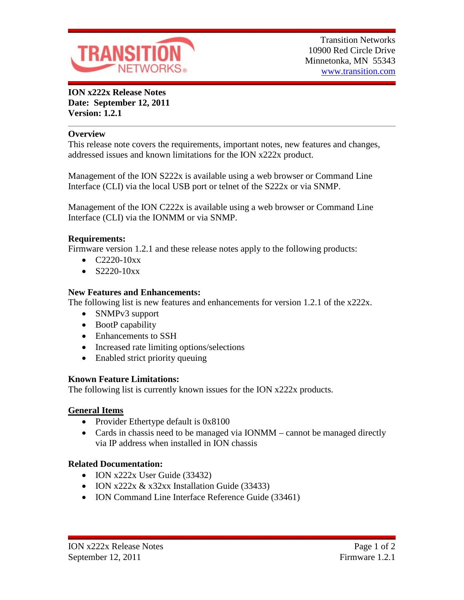

**ION x222x Release Notes Date: September 12, 2011 Version: 1.2.1**

## **Overview**

This release note covers the requirements, important notes, new features and changes, addressed issues and known limitations for the ION x222x product.

Management of the ION S222x is available using a web browser or Command Line Interface (CLI) via the local USB port or telnet of the S222x or via SNMP.

Management of the ION C222x is available using a web browser or Command Line Interface (CLI) via the IONMM or via SNMP.

#### **Requirements:**

Firmware version 1.2.1 and these release notes apply to the following products:

- $\bullet$  C2220-10xx
- $S2220-10xx$

### **New Features and Enhancements:**

The following list is new features and enhancements for version 1.2.1 of the x222x.

- SNMPv3 support
- BootP capability
- Enhancements to SSH
- Increased rate limiting options/selections
- Enabled strict priority queuing

### **Known Feature Limitations:**

The following list is currently known issues for the ION x222x products.

### **General Items**

- Provider Ethertype default is 0x8100
- Cards in chassis need to be managed via IONMM cannot be managed directly via IP address when installed in ION chassis

### **Related Documentation:**

- ION x222x User Guide (33432)
- ION x222x & x32xx Installation Guide (33433)
- ION Command Line Interface Reference Guide (33461)